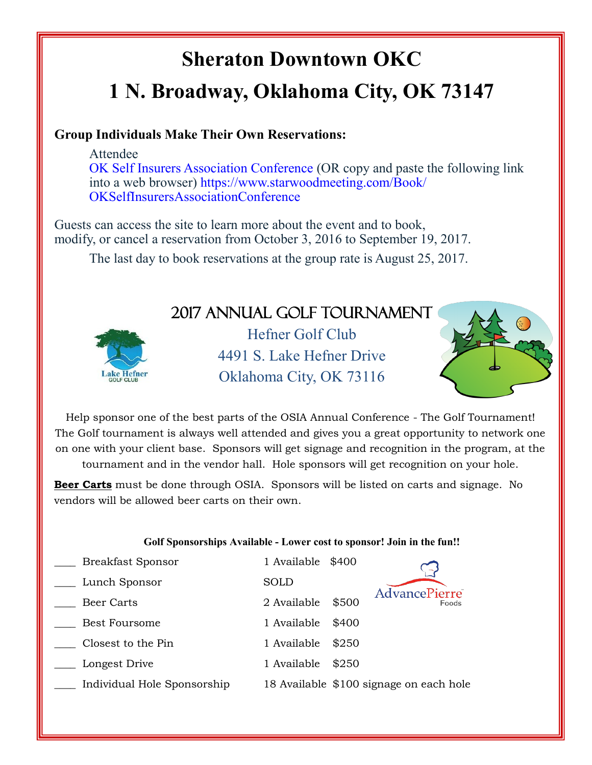# **Sheraton Downtown OKC 1 N. Broadway, Oklahoma City, OK 73147**

#### **Group Individuals Make Their Own Reservations:**

Attendee [OK Self Insurers Association Conference](%22https:/www.starwoodmeeting.com/Book/OKSelfInsurersAssociationConference%22) (OR copy and paste the following link into a web browser) [https://www.starwoodmeeting.com/Book/](%22https:/www.starwoodmeeting.com/Book/OKSelfInsurersAssociationConference%22) [OKSelfInsurersAssociationConference](%22https:/www.starwoodmeeting.com/Book/OKSelfInsurersAssociationConference%22)

Guests can access the site to learn more about the event and to book, modify, or cancel a reservation from October 3, 2016 to September 19, 2017.

The last day to book reservations at the group rate is August 25, 2017.

### 2017 Annual Golf Tournament



Hefner Golf Club 4491 S. Lake Hefner Drive Oklahoma City, OK 73116



Help sponsor one of the best parts of the OSIA Annual Conference - The Golf Tournament! The Golf tournament is always well attended and gives you a great opportunity to network one on one with your client base. Sponsors will get signage and recognition in the program, at the tournament and in the vendor hall. Hole sponsors will get recognition on your hole.

**Beer Carts** must be done through OSIA. Sponsors will be listed on carts and signage. No vendors will be allowed beer carts on their own.

#### **Golf Sponsorships Available - Lower cost to sponsor! Join in the fun!!**

| <b>Breakfast Sponsor</b>    | 1 Available \$400 |       |                                         |
|-----------------------------|-------------------|-------|-----------------------------------------|
| Lunch Sponsor               | SOLD              |       |                                         |
| Beer Carts                  | 2 Available       | \$500 | <b>AdvancePierre</b><br>Foods           |
| <b>Best Foursome</b>        | 1 Available       | \$400 |                                         |
| Closest to the Pin          | 1 Available       | \$250 |                                         |
| Longest Drive               | 1 Available       | \$250 |                                         |
| Individual Hole Sponsorship |                   |       | 18 Available \$100 signage on each hole |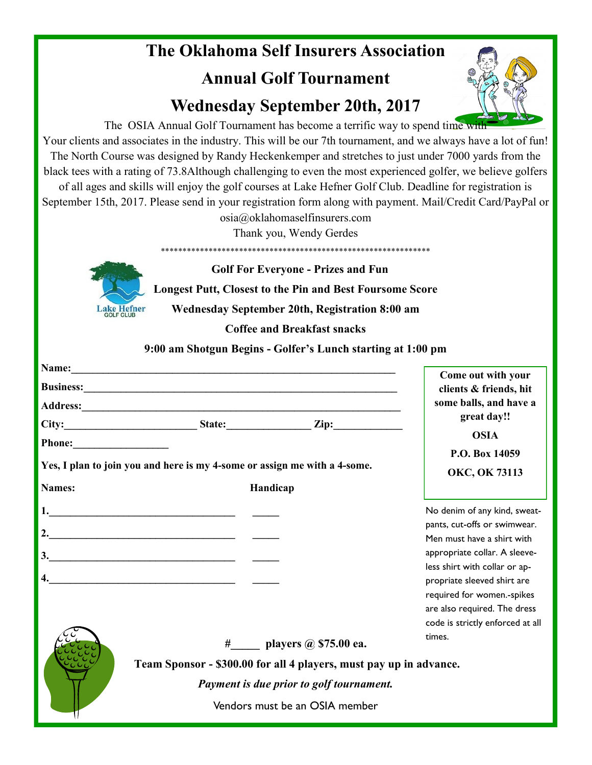### **The Oklahoma Self Insurers Association Annual Golf Tournament**

## **Wednesday September 20th, 2017**



The OSIA Annual Golf Tournament has become a terrific way to spend time with Your clients and associates in the industry. This will be our 7th tournament, and we always have a lot of fun! The North Course was designed by Randy Heckenkemper and stretches to just under 7000 yards from the black tees with a rating of 73.8Although challenging to even the most experienced golfer, we believe golfers of all ages and skills will enjoy the golf courses at Lake Hefner Golf Club. Deadline for registration is September 15th, 2017. Please send in your registration form along with payment. Mail/Credit Card/PayPal or

osia@oklahomaselfinsurers.com

Thank you, Wendy Gerdes



 **Golf For Everyone - Prizes and Fun Longest Putt, Closest to the Pin and Best Foursome Score Wednesday September 20th, Registration 8:00 am**

\*\*\*\*\*\*\*\*\*\*\*\*\*\*\*\*\*\*\*\*\*\*\*\*\*\*\*\*\*\*\*\*\*\*\*\*\*\*\*\*\*\*\*\*\*\*\*\*\*\*\*\*\*\*\*\*\*\*\*\*\*\*

**Coffee and Breakfast snacks**

**9:00 am Shotgun Begins - Golfer's Lunch starting at 1:00 pm**

|                  |                                                                                                                                                                                                                                |                                | Come out with your                                           |  |
|------------------|--------------------------------------------------------------------------------------------------------------------------------------------------------------------------------------------------------------------------------|--------------------------------|--------------------------------------------------------------|--|
|                  | Business: New York: New York: New York: New York: New York: New York: New York: New York: New York: New York: New York: New York: New York: New York: New York: New York: New York: New York: New York: New York: New York: Ne |                                | clients & friends, hit                                       |  |
|                  |                                                                                                                                                                                                                                |                                | some balls, and have a                                       |  |
|                  |                                                                                                                                                                                                                                |                                | great day!!                                                  |  |
|                  |                                                                                                                                                                                                                                |                                | <b>OSIA</b>                                                  |  |
|                  | Yes, I plan to join you and here is my 4-some or assign me with a 4-some.                                                                                                                                                      |                                | P.O. Box 14059<br>OKC, OK 73113                              |  |
| Names:           |                                                                                                                                                                                                                                | Handicap                       |                                                              |  |
|                  |                                                                                                                                                                                                                                |                                | No denim of any kind, sweat-<br>pants, cut-offs or swimwear. |  |
|                  |                                                                                                                                                                                                                                |                                | Men must have a shirt with                                   |  |
|                  |                                                                                                                                                                                                                                |                                | appropriate collar. A sleeve-                                |  |
| $\overline{4}$ . | <u> 1989 - Johann Harry Hermann, marwolaeth a bhaile an t-Iomraidh ann an t-Iomraidh ann an t-Iomraidh ann an t-Io</u>                                                                                                         |                                | less shirt with collar or ap-<br>propriate sleeved shirt are |  |
|                  |                                                                                                                                                                                                                                |                                | required for women.-spikes                                   |  |
|                  |                                                                                                                                                                                                                                |                                | are also required. The dress                                 |  |
|                  |                                                                                                                                                                                                                                |                                | code is strictly enforced at all<br>times.                   |  |
|                  | # players @ \$75.00 ea.                                                                                                                                                                                                        |                                |                                                              |  |
|                  | Team Sponsor - \$300.00 for all 4 players, must pay up in advance.                                                                                                                                                             |                                |                                                              |  |
|                  | Payment is due prior to golf tournament.                                                                                                                                                                                       |                                |                                                              |  |
|                  |                                                                                                                                                                                                                                | Vendors must be an OSIA member |                                                              |  |